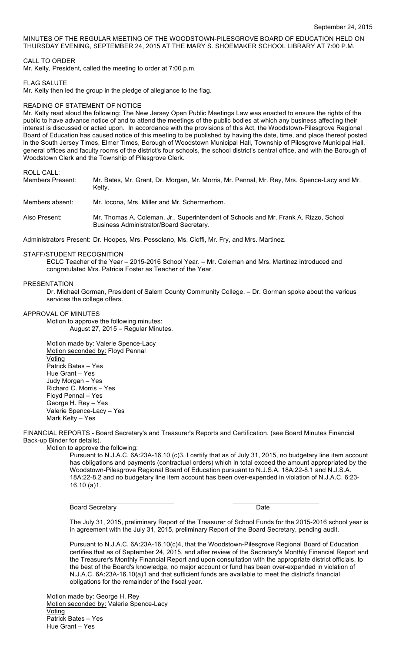MINUTES OF THE REGULAR MEETING OF THE WOODSTOWN-PILESGROVE BOARD OF EDUCATION HELD ON THURSDAY EVENING, SEPTEMBER 24, 2015 AT THE MARY S. SHOEMAKER SCHOOL LIBRARY AT 7:00 P.M.

CALL TO ORDER

Mr. Kelty, President, called the meeting to order at 7:00 p.m.

FLAG SALUTE

Mr. Kelty then led the group in the pledge of allegiance to the flag.

# READING OF STATEMENT OF NOTICE

Mr. Kelty read aloud the following: The New Jersey Open Public Meetings Law was enacted to ensure the rights of the public to have advance notice of and to attend the meetings of the public bodies at which any business affecting their interest is discussed or acted upon. In accordance with the provisions of this Act, the Woodstown-Pilesgrove Regional Board of Education has caused notice of this meeting to be published by having the date, time, and place thereof posted in the South Jersey Times, Elmer Times, Borough of Woodstown Municipal Hall, Township of Pilesgrove Municipal Hall, general offices and faculty rooms of the district's four schools, the school district's central office, and with the Borough of Woodstown Clerk and the Township of Pilesgrove Clerk.

ROLL CALL:

| Members Present: | Mr. Bates, Mr. Grant, Dr. Morgan, Mr. Morris, Mr. Pennal, Mr. Rey, Mrs. Spence-Lacy and Mr.<br>Kelty.                           |
|------------------|---------------------------------------------------------------------------------------------------------------------------------|
| Members absent:  | Mr. locona, Mrs. Miller and Mr. Schermerhorn.                                                                                   |
| Also Present:    | Mr. Thomas A. Coleman, Jr., Superintendent of Schools and Mr. Frank A. Rizzo, School<br>Business Administrator/Board Secretary. |

Administrators Present: Dr. Hoopes, Mrs. Pessolano, Ms. Cioffi, Mr. Fry, and Mrs. Martinez.

### STAFF/STUDENT RECOGNITION

ECLC Teacher of the Year – 2015-2016 School Year. – Mr. Coleman and Mrs. Martinez introduced and congratulated Mrs. Patricia Foster as Teacher of the Year.

### PRESENTATION

Dr. Michael Gorman, President of Salem County Community College. – Dr. Gorman spoke about the various services the college offers.

## APPROVAL OF MINUTES

Motion to approve the following minutes: August 27, 2015 – Regular Minutes.

Motion made by: Valerie Spence-Lacy Motion seconded by: Floyd Pennal Voting Patrick Bates – Yes Hue Grant – Yes Judy Morgan – Yes Richard C. Morris – Yes Floyd Pennal – Yes George H. Rey – Yes Valerie Spence-Lacy – Yes Mark Kelty – Yes

FINANCIAL REPORTS - Board Secretary's and Treasurer's Reports and Certification. (see Board Minutes Financial Back-up Binder for details).

Motion to approve the following:

Pursuant to N.J.A.C. 6A:23A-16.10 (c)3, I certify that as of July 31, 2015, no budgetary line item account has obligations and payments (contractual orders) which in total exceed the amount appropriated by the Woodstown-Pilesgrove Regional Board of Education pursuant to N.J.S.A. 18A:22-8.1 and N.J.S.A. 18A:22-8.2 and no budgetary line item account has been over-expended in violation of N.J.A.C. 6:23- 16.10 (a)1.

Board Secretary Date

 $\overline{\phantom{a}}$  , and the contribution of the contribution of  $\overline{\phantom{a}}$  , and  $\overline{\phantom{a}}$  , and  $\overline{\phantom{a}}$  , and  $\overline{\phantom{a}}$ 

The July 31, 2015, preliminary Report of the Treasurer of School Funds for the 2015-2016 school year is in agreement with the July 31, 2015, preliminary Report of the Board Secretary, pending audit.

Pursuant to N.J.A.C. 6A:23A-16.10(c)4, that the Woodstown-Pilesgrove Regional Board of Education certifies that as of September 24, 2015, and after review of the Secretary's Monthly Financial Report and the Treasurer's Monthly Financial Report and upon consultation with the appropriate district officials, to the best of the Board's knowledge, no major account or fund has been over-expended in violation of N.J.A.C. 6A:23A-16.10(a)1 and that sufficient funds are available to meet the district's financial obligations for the remainder of the fiscal year.

Motion made by: George H. Rey Motion seconded by: Valerie Spence-Lacy Voting Patrick Bates – Yes Hue Grant – Yes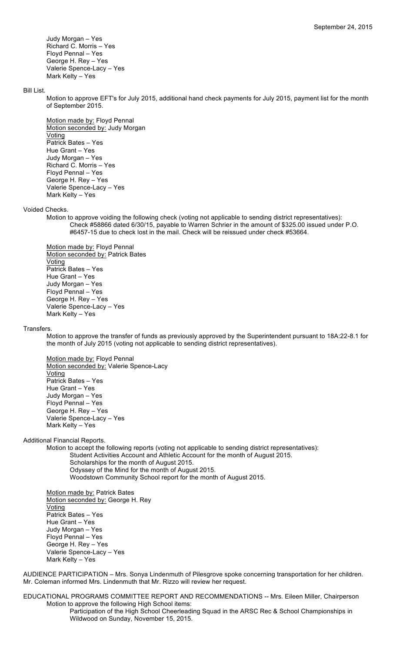Judy Morgan – Yes Richard C. Morris – Yes Floyd Pennal – Yes George H. Rey – Yes Valerie Spence-Lacy – Yes Mark Kelty – Yes

## Bill List.

Motion to approve EFT's for July 2015, additional hand check payments for July 2015, payment list for the month of September 2015.

Motion made by: Floyd Pennal Motion seconded by: Judy Morgan **Voting** Patrick Bates – Yes Hue Grant – Yes Judy Morgan – Yes Richard C. Morris – Yes Floyd Pennal – Yes George H. Rey – Yes Valerie Spence-Lacy – Yes Mark Kelty – Yes

#### Voided Checks.

Motion to approve voiding the following check (voting not applicable to sending district representatives): Check #58866 dated 6/30/15, payable to Warren Schrier in the amount of \$325.00 issued under P.O. #6457-15 due to check lost in the mail. Check will be reissued under check #53664.

Motion made by: Floyd Pennal Motion seconded by: Patrick Bates Voting Patrick Bates – Yes Hue Grant – Yes Judy Morgan – Yes Floyd Pennal – Yes George H. Rey – Yes Valerie Spence-Lacy – Yes Mark Kelty – Yes

#### Transfers.

Motion to approve the transfer of funds as previously approved by the Superintendent pursuant to 18A:22-8.1 for the month of July 2015 (voting not applicable to sending district representatives).

Motion made by: Floyd Pennal Motion seconded by: Valerie Spence-Lacy Voting Patrick Bates – Yes Hue Grant – Yes Judy Morgan – Yes Floyd Pennal – Yes George H. Rey – Yes Valerie Spence-Lacy – Yes Mark Kelty – Yes

### Additional Financial Reports.

Motion to accept the following reports (voting not applicable to sending district representatives): Student Activities Account and Athletic Account for the month of August 2015.

Scholarships for the month of August 2015.

Odyssey of the Mind for the month of August 2015.

Woodstown Community School report for the month of August 2015.

Motion made by: Patrick Bates Motion seconded by: George H. Rey **Voting** Patrick Bates – Yes Hue Grant – Yes Judy Morgan – Yes Floyd Pennal – Yes George H. Rey – Yes Valerie Spence-Lacy – Yes Mark Kelty – Yes

AUDIENCE PARTICIPATION – Mrs. Sonya Lindenmuth of Pilesgrove spoke concerning transportation for her children. Mr. Coleman informed Mrs. Lindenmuth that Mr. Rizzo will review her request.

EDUCATIONAL PROGRAMS COMMITTEE REPORT AND RECOMMENDATIONS -- Mrs. Eileen Miller, Chairperson Motion to approve the following High School items:

Participation of the High School Cheerleading Squad in the ARSC Rec & School Championships in Wildwood on Sunday, November 15, 2015.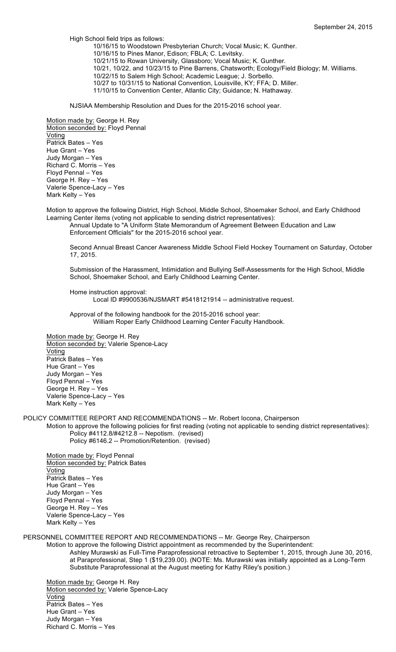High School field trips as follows:

10/16/15 to Woodstown Presbyterian Church; Vocal Music; K. Gunther. 10/16/15 to Pines Manor, Edison; FBLA; C. Levitsky. 10/21/15 to Rowan University, Glassboro; Vocal Music; K. Gunther. 10/21, 10/22, and 10/23/15 to Pine Barrens, Chatsworth; Ecology/Field Biology; M. Williams. 10/22/15 to Salem High School; Academic League; J. Sorbello. 10/27 to 10/31/15 to National Convention, Louisville, KY; FFA; D. Miller. 11/10/15 to Convention Center, Atlantic City; Guidance; N. Hathaway.

NJSIAA Membership Resolution and Dues for the 2015-2016 school year.

Motion made by: George H. Rey Motion seconded by: Floyd Pennal Voting Patrick Bates – Yes Hue Grant – Yes Judy Morgan – Yes Richard C. Morris – Yes Floyd Pennal – Yes George H. Rey – Yes Valerie Spence-Lacy – Yes Mark Kelty – Yes

Motion to approve the following District, High School, Middle School, Shoemaker School, and Early Childhood Learning Center items (voting not applicable to sending district representatives):

Annual Update to "A Uniform State Memorandum of Agreement Between Education and Law Enforcement Officials" for the 2015-2016 school year.

Second Annual Breast Cancer Awareness Middle School Field Hockey Tournament on Saturday, October 17, 2015.

Submission of the Harassment, Intimidation and Bullying Self-Assessments for the High School, Middle School, Shoemaker School, and Early Childhood Learning Center.

Home instruction approval: Local ID #9900536/NJSMART #5418121914 -- administrative request.

Approval of the following handbook for the 2015-2016 school year: William Roper Early Childhood Learning Center Faculty Handbook.

Motion made by: George H. Rey Motion seconded by: Valerie Spence-Lacy Voting Patrick Bates – Yes Hue Grant – Yes Judy Morgan – Yes Floyd Pennal – Yes George H. Rey – Yes Valerie Spence-Lacy – Yes Mark Kelty – Yes

POLICY COMMITTEE REPORT AND RECOMMENDATIONS -- Mr. Robert Iocona, Chairperson

Motion to approve the following policies for first reading (voting not applicable to sending district representatives): Policy #4112.8/#4212.8 -- Nepotism. (revised)

Policy #6146.2 -- Promotion/Retention. (revised)

Motion made by: Floyd Pennal Motion seconded by: Patrick Bates Voting Patrick Bates – Yes Hue Grant – Yes Judy Morgan – Yes Floyd Pennal – Yes George H. Rey – Yes Valerie Spence-Lacy – Yes Mark Kelty – Yes

PERSONNEL COMMITTEE REPORT AND RECOMMENDATIONS -- Mr. George Rey, Chairperson

Motion to approve the following District appointment as recommended by the Superintendent: Ashley Murawski as Full-Time Paraprofessional retroactive to September 1, 2015, through June 30, 2016, at Paraprofessional, Step 1 (\$19,239.00). (NOTE: Ms. Murawski was initially appointed as a Long-Term

Substitute Paraprofessional at the August meeting for Kathy Riley's position.)

Motion made by: George H. Rey Motion seconded by: Valerie Spence-Lacy **Voting** Patrick Bates – Yes Hue Grant – Yes Judy Morgan – Yes Richard C. Morris – Yes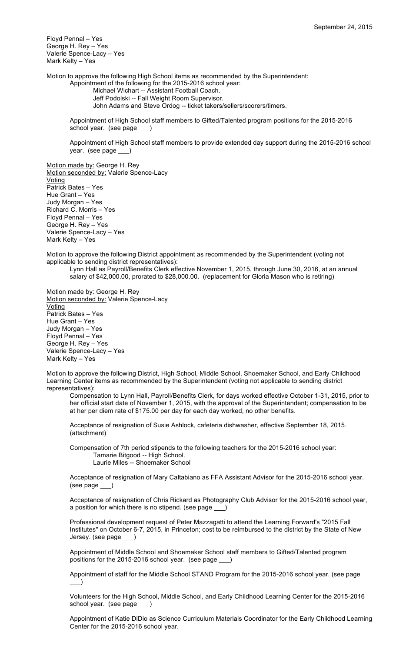Floyd Pennal – Yes George H. Rey – Yes Valerie Spence-Lacy – Yes Mark Kelty – Yes

Motion to approve the following High School items as recommended by the Superintendent: Appointment of the following for the 2015-2016 school year:

Michael Wichart -- Assistant Football Coach. Jeff Podolski -- Fall Weight Room Supervisor. John Adams and Steve Ordog -- ticket takers/sellers/scorers/timers.

Appointment of High School staff members to Gifted/Talented program positions for the 2015-2016 school year. (see page \_

Appointment of High School staff members to provide extended day support during the 2015-2016 school year. (see page \_\_\_)

Motion made by: George H. Rey Motion seconded by: Valerie Spence-Lacy **Voting** Patrick Bates – Yes Hue Grant – Yes Judy Morgan – Yes Richard C. Morris – Yes Floyd Pennal – Yes George H. Rey – Yes Valerie Spence-Lacy – Yes Mark Kelty – Yes

Motion to approve the following District appointment as recommended by the Superintendent (voting not applicable to sending district representatives):

Lynn Hall as Payroll/Benefits Clerk effective November 1, 2015, through June 30, 2016, at an annual salary of \$42,000.00, prorated to \$28,000.00. (replacement for Gloria Mason who is retiring)

Motion made by: George H. Rey Motion seconded by: Valerie Spence-Lacy Voting Patrick Bates – Yes Hue Grant – Yes Judy Morgan – Yes Floyd Pennal – Yes George H. Rey – Yes Valerie Spence-Lacy – Yes Mark Kelty – Yes

Motion to approve the following District, High School, Middle School, Shoemaker School, and Early Childhood Learning Center items as recommended by the Superintendent (voting not applicable to sending district representatives):

Compensation to Lynn Hall, Payroll/Benefits Clerk, for days worked effective October 1-31, 2015, prior to her official start date of November 1, 2015, with the approval of the Superintendent; compensation to be at her per diem rate of \$175.00 per day for each day worked, no other benefits.

Acceptance of resignation of Susie Ashlock, cafeteria dishwasher, effective September 18, 2015. (attachment)

Compensation of 7th period stipends to the following teachers for the 2015-2016 school year: Tamarie Bitgood -- High School. Laurie Miles -- Shoemaker School

Acceptance of resignation of Mary Caltabiano as FFA Assistant Advisor for the 2015-2016 school year. (see page \_\_\_)

Acceptance of resignation of Chris Rickard as Photography Club Advisor for the 2015-2016 school year, a position for which there is no stipend. (see page \_\_\_)

Professional development request of Peter Mazzagatti to attend the Learning Forward's "2015 Fall Institutes" on October 6-7, 2015, in Princeton; cost to be reimbursed to the district by the State of New Jersey. (see page \_

Appointment of Middle School and Shoemaker School staff members to Gifted/Talented program positions for the 2015-2016 school year. (see page \_\_

Appointment of staff for the Middle School STAND Program for the 2015-2016 school year. (see page  $\qquad)$ 

Volunteers for the High School, Middle School, and Early Childhood Learning Center for the 2015-2016 school year. (see page \_\_\_)

Appointment of Katie DiDio as Science Curriculum Materials Coordinator for the Early Childhood Learning Center for the 2015-2016 school year.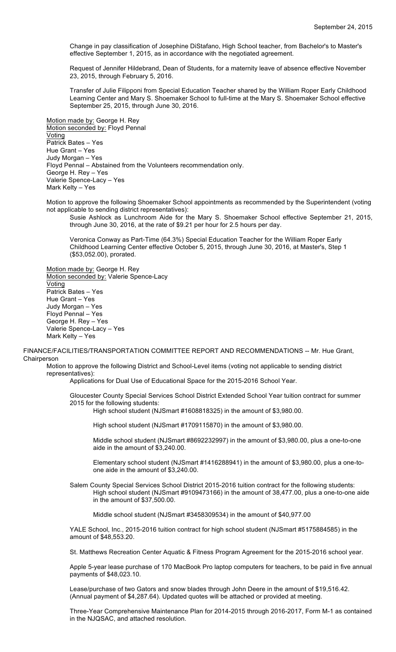Change in pay classification of Josephine DiStafano, High School teacher, from Bachelor's to Master's effective September 1, 2015, as in accordance with the negotiated agreement.

Request of Jennifer Hildebrand, Dean of Students, for a maternity leave of absence effective November 23, 2015, through February 5, 2016.

Transfer of Julie Filipponi from Special Education Teacher shared by the William Roper Early Childhood Learning Center and Mary S. Shoemaker School to full-time at the Mary S. Shoemaker School effective September 25, 2015, through June 30, 2016.

Motion made by: George H. Rey Motion seconded by: Floyd Pennal Voting Patrick Bates – Yes Hue Grant – Yes Judy Morgan – Yes Floyd Pennal – Abstained from the Volunteers recommendation only. George H. Rey – Yes Valerie Spence-Lacy – Yes Mark Kelty – Yes

Motion to approve the following Shoemaker School appointments as recommended by the Superintendent (voting not applicable to sending district representatives):

Susie Ashlock as Lunchroom Aide for the Mary S. Shoemaker School effective September 21, 2015, through June 30, 2016, at the rate of \$9.21 per hour for 2.5 hours per day.

Veronica Conway as Part-Time (64.3%) Special Education Teacher for the William Roper Early Childhood Learning Center effective October 5, 2015, through June 30, 2016, at Master's, Step 1 (\$53,052.00), prorated.

Motion made by: George H. Rey Motion seconded by: Valerie Spence-Lacy Voting Patrick Bates – Yes Hue Grant – Yes Judy Morgan – Yes Floyd Pennal – Yes George H. Rey – Yes Valerie Spence-Lacy – Yes Mark Kelty – Yes

FINANCE/FACILITIES/TRANSPORTATION COMMITTEE REPORT AND RECOMMENDATIONS -- Mr. Hue Grant, Chairperson

Motion to approve the following District and School-Level items (voting not applicable to sending district representatives):

Applications for Dual Use of Educational Space for the 2015-2016 School Year.

Gloucester County Special Services School District Extended School Year tuition contract for summer 2015 for the following students:

High school student (NJSmart #1608818325) in the amount of \$3,980.00.

High school student (NJSmart #1709115870) in the amount of \$3,980.00.

Middle school student (NJSmart #8692232997) in the amount of \$3,980.00, plus a one-to-one aide in the amount of \$3,240.00.

Elementary school student (NJSmart #1416288941) in the amount of \$3,980.00, plus a one-toone aide in the amount of \$3,240.00.

Salem County Special Services School District 2015-2016 tuition contract for the following students: High school student (NJSmart #9109473166) in the amount of 38,477.00, plus a one-to-one aide in the amount of \$37,500.00.

Middle school student (NJSmart #3458309534) in the amount of \$40,977.00

YALE School, Inc., 2015-2016 tuition contract for high school student (NJSmart #5175884585) in the amount of \$48,553.20.

St. Matthews Recreation Center Aquatic & Fitness Program Agreement for the 2015-2016 school year.

Apple 5-year lease purchase of 170 MacBook Pro laptop computers for teachers, to be paid in five annual payments of \$48,023.10.

Lease/purchase of two Gators and snow blades through John Deere in the amount of \$19,516.42. (Annual payment of \$4,287.64). Updated quotes will be attached or provided at meeting.

Three-Year Comprehensive Maintenance Plan for 2014-2015 through 2016-2017, Form M-1 as contained in the NJQSAC, and attached resolution.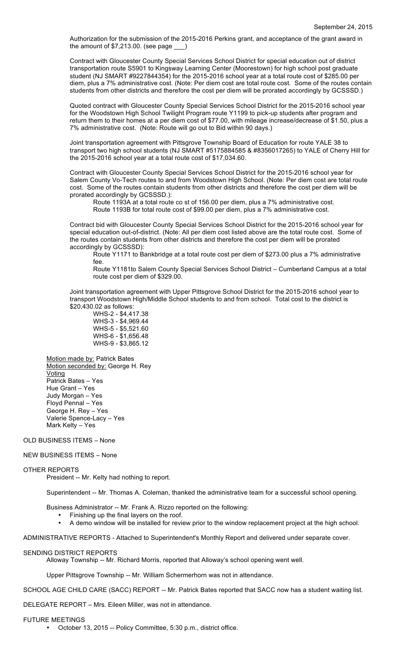Authorization for the submission of the 2015-2016 Perkins grant, and acceptance of the grant award in the amount of \$7,213.00. (see page \_\_\_)

Contract with Gloucester County Special Services School District for special education out of district transportation route S5901 to Kingsway Learning Center (Moorestown) for high school post graduate student (NJ SMART #9227844354) for the 2015-2016 school year at a total route cost of \$285.00 per diem, plus a 7% administrative cost. (Note: Per diem cost are total route cost. Some of the routes contain students from other districts and therefore the cost per diem will be prorated accordingly by GCSSSD.)

Quoted contract with Gloucester County Special Services School District for the 2015-2016 school year for the Woodstown High School Twilight Program route Y1199 to pick-up students after program and return them to their homes at a per diem cost of \$77.00, with mileage increase/decrease of \$1.50, plus a 7% administrative cost. (Note: Route will go out to Bid within 90 days.)

Joint transportation agreement with Pittsgrove Township Board of Education for route YALE 38 to transport two high school students (NJ SMART #5175884585 & #8356017265) to YALE of Cherry Hill for the 2015-2016 school year at a total route cost of \$17,034.60.

Contract with Gloucester County Special Services School District for the 2015-2016 school year for Salem County Vo-Tech routes to and from Woodstown High School. (Note: Per diem cost are total route cost. Some of the routes contain students from other districts and therefore the cost per diem will be prorated accordingly by GCSSSD.):

Route 1193A at a total route co st of 156.00 per diem, plus a 7% administrative cost. Route 1193B for total route cost of \$99.00 per diem, plus a 7% administrative cost.

Contract bid with Gloucester County Special Services School District for the 2015-2016 school year for special education out-of-district. (Note: All per diem cost listed above are the total route cost. Some of the routes contain students from other districts and therefore the cost per diem will be prorated accordingly by GCSSSD):

Route Y1171 to Bankbridge at a total route cost per diem of \$273.00 plus a 7% administrative fee.

Route Y1181to Salem County Special Services School District – Cumberland Campus at a total route cost per diem of \$329.00.

Joint transportation agreement with Upper Pittsgrove School District for the 2015-2016 school year to transport Woodstown High/Middle School students to and from school. Total cost to the district is \$20,430.02 as follows:

WHS-2 - \$4,417.38 WHS-3 - \$4,969.44 WHS-5 - \$5,521.60 WHS-6 - \$1,656.48 WHS-9 - \$3,865.12

Motion made by: Patrick Bates Motion seconded by: George H. Rey **Voting** Patrick Bates – Yes Hue Grant – Yes Judy Morgan – Yes Floyd Pennal – Yes George H. Rey – Yes Valerie Spence-Lacy – Yes Mark Kelty – Yes

# OLD BUSINESS ITEMS – None

# NEW BUSINESS ITEMS – None

## OTHER REPORTS

President -- Mr. Kelty had nothing to report.

Superintendent -- Mr. Thomas A. Coleman, thanked the administrative team for a successful school opening.

Business Administrator -- Mr. Frank A. Rizzo reported on the following:

- Finishing up the final layers on the roof.
- A demo window will be installed for review prior to the window replacement project at the high school.

ADMINISTRATIVE REPORTS - Attached to Superintendent's Monthly Report and delivered under separate cover.

### SENDING DISTRICT REPORTS

Alloway Township -- Mr. Richard Morris, reported that Alloway's school opening went well.

Upper Pittsgrove Township -- Mr. William Schermerhorn was not in attendance.

SCHOOL AGE CHILD CARE (SACC) REPORT -- Mr. Patrick Bates reported that SACC now has a student waiting list.

DELEGATE REPORT – Mrs. Eileen Miller, was not in attendance.

## FUTURE MEETINGS

• October 13, 2015 -- Policy Committee, 5:30 p.m., district office.